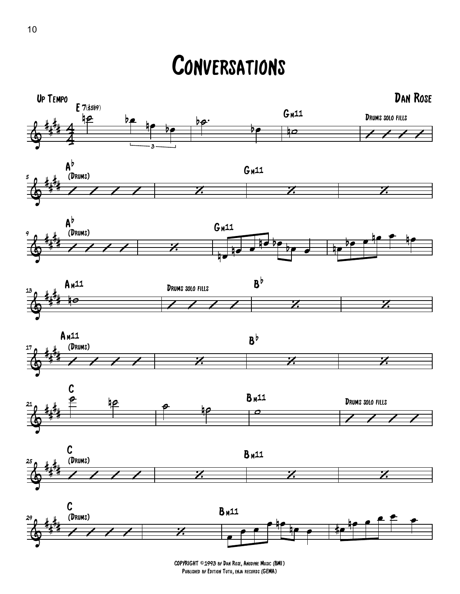## **CONVERSATIONS**



COPYRIGHT ©1993 by Dan Rose, Anodyne Music (BMI) Published by Edition Tutu, enja records (GEMA)